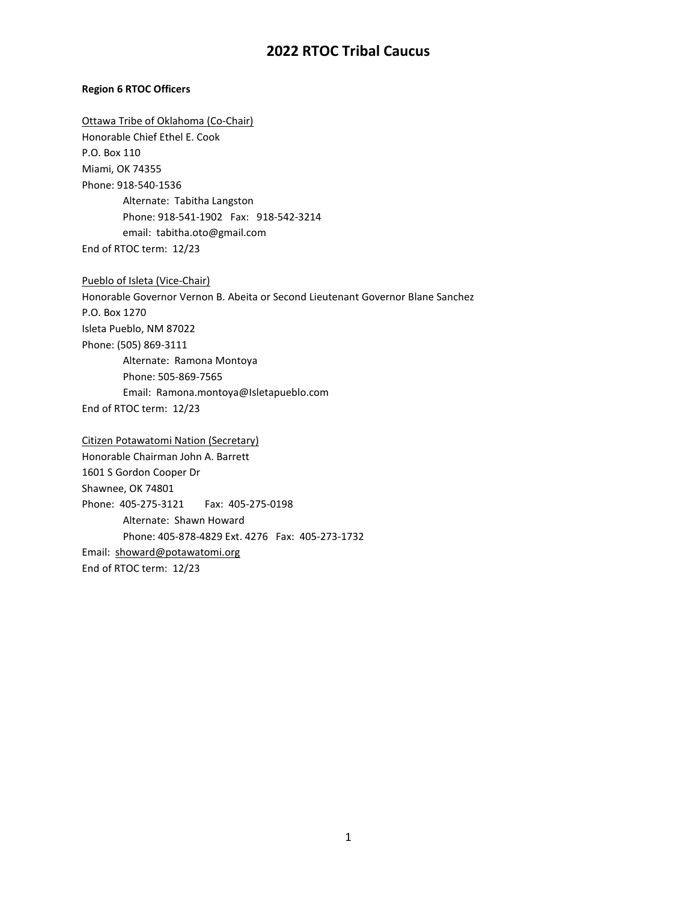## **Region 6 RTOC Officers**

Ottawa Tribe of Oklahoma (Co-Chair) Honorable Chief Ethel E. Cook P.O. Box 110 Miami, OK 74355 Phone: 918-540-1536 Alternate: Tabitha Langston Phone: 918-541-1902 Fax: 918-542-3214 email: tabitha.oto@gmail.com End of RTOC term: 12/23

Pueblo of Isleta (Vice-Chair) Honorable Governor Vernon B. Abeita or Second Lieutenant Governor Blane Sanchez P.O. Box 1270 Isleta Pueblo, NM 87022 Phone: (505) 869-3111 Alternate: Ramona Montoya Phone: 505-869-7565 Email: Ramona.montoya@Isletapueblo.com End of RTOC term: 12/23

Citizen Potawatomi Nation (Secretary) Honorable Chairman John A. Barrett 1601 S Gordon Cooper Dr Shawnee, OK 74801 Phone: 405-275-3121 Fax: 405-275-0198 Alternate: Shawn Howard Phone: 405-878-4829 Ext. 4276 Fax: 405-273-1732 Email: [showard@potawatomi.org](mailto:showard@potawatomi.org) End of RTOC term: 12/23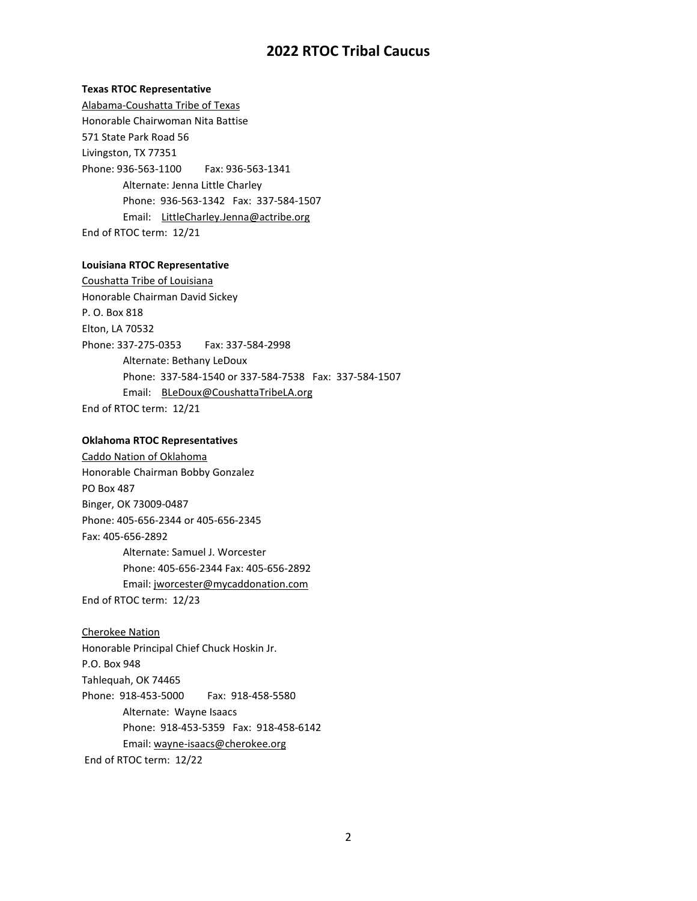### **Texas RTOC Representative**

Alabama-Coushatta Tribe of Texas Honorable Chairwoman Nita Battise 571 State Park Road 56 Livingston, TX 77351 Phone: 936-563-1100 Fax: 936-563-1341 Alternate: Jenna Little Charley Phone: 936-563-1342 Fax: 337-584-1507 Email: LittleCharley.Jenna@actribe.org End of RTOC term: 12/21

## **Louisiana RTOC Representative**

Coushatta Tribe of Louisiana Honorable Chairman David Sickey P. O. Box 818 Elton, LA 70532 Phone: 337-275-0353 Fax: 337-584-2998 Alternate: Bethany LeDoux Phone: 337-584-1540 or 337-584-7538 Fax: 337-584-1507 Email: [BLeDoux@CoushattaTribeLA.org](mailto:BLeDoux@CoushattaTribeLA.org) End of RTOC term: 12/21

#### **Oklahoma RTOC Representatives**

Caddo Nation of Oklahoma Honorable Chairman Bobby Gonzalez PO Box 487 Binger, OK 73009-0487 Phone: 405-656-2344 or 405-656-2345 Fax: 405-656-2892 Alternate: Samuel J. Worcester Phone: 405-656-2344 Fax: 405-656-2892 Email: jworcester@mycaddonation.com End of RTOC term: 12/23

## Cherokee Nation

Honorable Principal Chief Chuck Hoskin Jr. P.O. Box 948 Tahlequah, OK 74465 Phone: 918-453-5000 Fax: 918-458-5580 Alternate: Wayne Isaacs Phone: 918-453-5359 Fax: 918-458-6142 Email: wayne-isaacs@cherokee.org

End of RTOC term: 12/22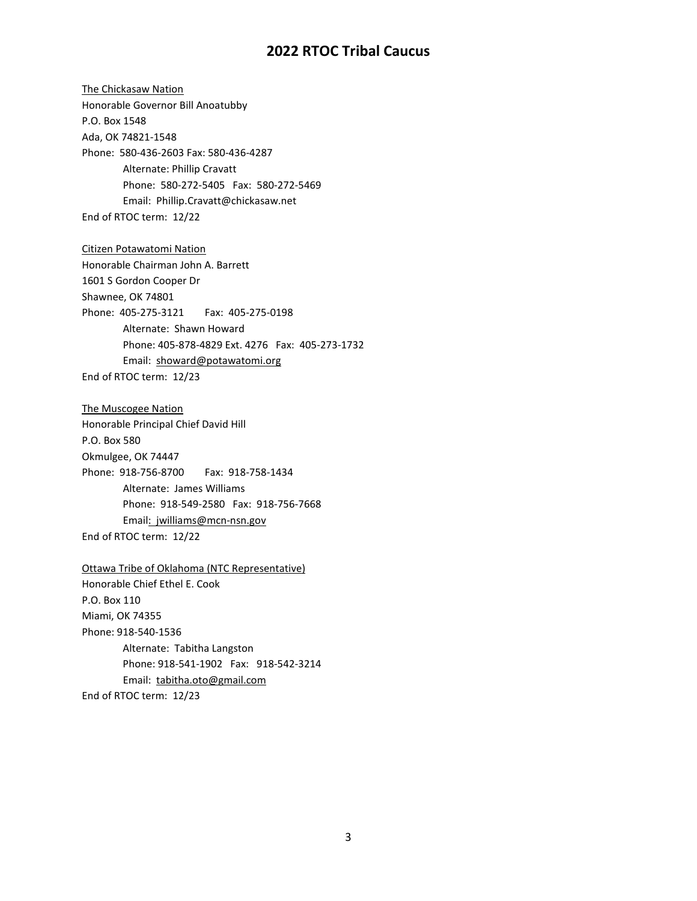The Chickasaw Nation Honorable Governor Bill Anoatubby P.O. Box 1548 Ada, OK 74821-1548 Phone: 580-436-2603 Fax: 580-436-4287 Alternate: Phillip Cravatt Phone: 580-272-5405 Fax: 580-272-5469 Email: Phillip.Cravatt@chickasaw.net End of RTOC term: 12/22 Citizen Potawatomi Nation Honorable Chairman John A. Barrett 1601 S Gordon Cooper Dr Shawnee, OK 74801 Phone: 405-275-3121 Fax: 405-275-0198 Alternate: Shawn Howard Phone: 405-878-4829 Ext. 4276 Fax: 405-273-1732 Email: [showard@potawatomi.org](mailto:showard@potawatomi.org) End of RTOC term: 12/23 The Muscogee Nation Honorable Principal Chief David Hill P.O. Box 580 Okmulgee, OK 74447 Phone: 918-756-8700 Fax: 918-758-1434 Alternate: James Williams Phone: 918-549-2580 Fax: 918-756-7668 Email: jwilliams@mcn-nsn.gov End of RTOC term: 12/22 Ottawa Tribe of Oklahoma (NTC Representative) Honorable Chief Ethel E. Cook P.O. Box 110 Miami, OK 74355 Phone: 918-540-1536 Alternate: Tabitha Langston Phone: 918-541-1902 Fax: 918-542-3214 Email: tabitha.oto@gmail.com End of RTOC term: 12/23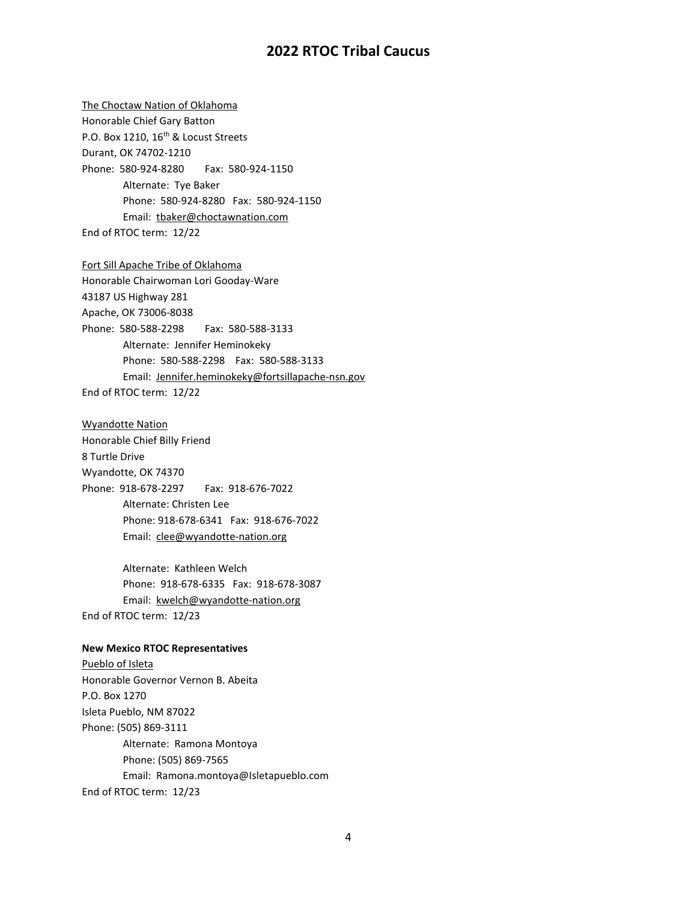The Choctaw Nation of Oklahoma Honorable Chief Gary Batton P.O. Box 1210, 16<sup>th</sup> & Locust Streets Durant, OK 74702-1210 Phone: 580-924-8280 Fax: 580-924-1150 Alternate: Tye Baker Phone: 580-924-8280 Fax: 580-924-1150 Email: tbaker@choctawnation.com End of RTOC term: 12/22 Fort Sill Apache Tribe of Oklahoma Honorable Chairwoman Lori Gooday-Ware 43187 US Highway 281 Apache, OK 73006-8038 Phone: 580-588-2298 Fax: 580-588-3133 Alternate: Jennifer Heminokeky Phone: 580-588-2298 Fax: 580-588-3133 Email: Jennifer.heminokeky@fortsillapache-nsn.gov End of RTOC term: 12/22 Wyandotte Nation Honorable Chief Billy Friend 8 Turtle Drive Wyandotte, OK 74370 Phone: 918-678-2297 Fax: 918-676-7022 Alternate: Christen Lee Phone: 918-678-6341 Fax: 918-676-7022 Email: clee@wyandotte-nation.org Alternate: Kathleen Welch Phone: 918-678-6335 Fax: 918-678-3087 Email: kwelch@wyandotte-nation.org End of RTOC term: 12/23 **New Mexico RTOC Representatives** Pueblo of Isleta Honorable Governor Vernon B. Abeita P.O. Box 1270 Isleta Pueblo, NM 87022 Phone: (505) 869-3111 Alternate: Ramona Montoya Phone: (505) 869-7565 Email: Ramona.montoya@Isletapueblo.com End of RTOC term: 12/23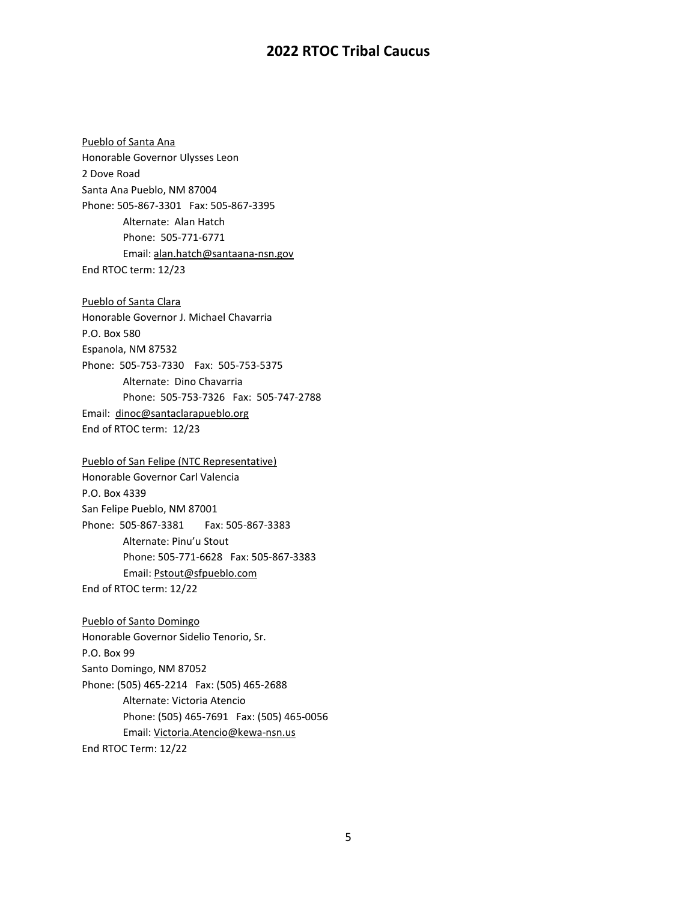[Pueblo of S](http://pojoaque.org/)anta Ana Honorable Governor Ulysses Leon 2 Dove Road Santa Ana Pueblo, NM 87004 Phone: 505-867-3301 Fax: 505-867-3395 Alternate: Alan Hatch Phone: 505-771-6771 Email: alan.hatch@santaana-nsn.gov End RTOC term: 12/23

Pueblo of Santa Clara Honorable Governor J. Michael Chavarria P.O. Box 580 Espanola, NM 87532 Phone: 505-753-7330 Fax: 505-753-5375 Alternate: Dino Chavarria Phone: 505-753-7326 Fax: 505-747-2788 Email: dinoc@santaclarapueblo.org End of RTOC term: 12/23

Pueblo of San Felipe (NTC Representative) Honorable Governor Carl Valencia P.O. Box 4339 San Felipe Pueblo, NM 87001 Phone: 505-867-3381 Fax: 505-867-3383 Alternate: Pinu'u Stout Phone: 505-771-6628 Fax: 505-867-3383 Email: Pstout@sfpueblo.com End of RTOC term: 12/22

Pueblo of Santo Domingo Honorable Governor Sidelio Tenorio, Sr. P.O. Box 99 Santo Domingo, NM 87052 Phone: (505) 465-2214 Fax: (505) 465-2688 Alternate: Victoria Atencio Phone: (505) 465-7691 Fax: (505) 465-0056 Email: Victoria.Atencio@kewa-nsn.us End RTOC Term: 12/22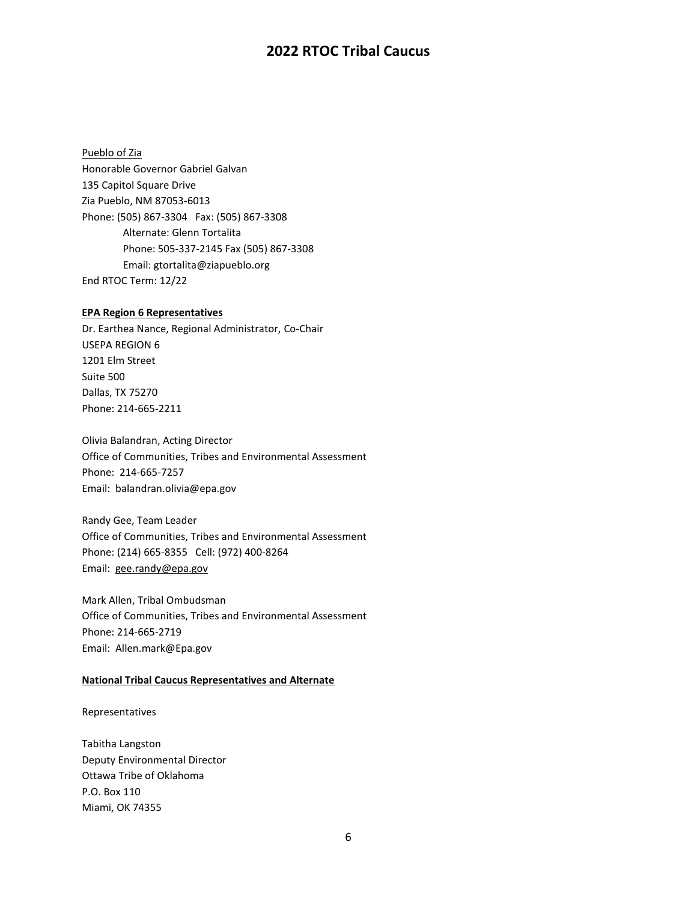Pueblo of Zia Honorable Governor Gabriel Galvan 135 Capitol Square Drive Zia Pueblo, NM 87053-6013 Phone: (505) 867-3304 Fax: (505) 867-3308 Alternate: Glenn Tortalita Phone: 505-337-2145 Fax (505) 867-3308 Email: gtortalita@ziapueblo.org End RTOC Term: 12/22

### **EPA Region 6 Representatives**

Dr. Earthea Nance, Regional Administrator, Co-Chair USEPA REGION 6 1201 Elm Street Suite 500 Dallas, TX 75270 Phone: 214-665-2211

Olivia Balandran, Acting Director Office of Communities, Tribes and Environmental Assessment Phone: 214-665-7257 Email: balandran.olivia@epa.gov

Randy Gee, Team Leader Office of Communities, Tribes and Environmental Assessment Phone: (214) 665-8355 Cell: (972) 400-8264 Email: [gee.randy@epa.gov](mailto:gee.randy@epa.gov)

Mark Allen, Tribal Ombudsman Office of Communities, Tribes and Environmental Assessment Phone: 214-665-2719 Email: Allen.mark@Epa.gov

### **National Tribal Caucus Representatives and Alternate**

## Representatives

Tabitha Langston Deputy Environmental Director Ottawa Tribe of Oklahoma P.O. Box 110 Miami, OK 74355